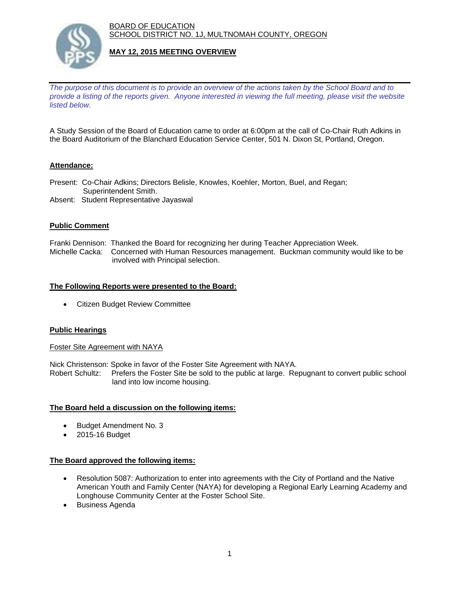BOARD OF EDUCATION SCHOOL DISTRICT NO. 1J, MULTNOMAH COUNTY, OREGON



## **MAY 12, 2015 MEETING OVERVIEW**

*The purpose of this document is to provide an overview of the actions taken by the School Board and to provide a listing of the reports given. Anyone interested in viewing the full meeting, please visit the website listed below.* 

A Study Session of the Board of Education came to order at 6:00pm at the call of Co-Chair Ruth Adkins in the Board Auditorium of the Blanchard Education Service Center, 501 N. Dixon St, Portland, Oregon.

## **Attendance:**

- Present: Co-Chair Adkins; Directors Belisle, Knowles, Koehler, Morton, Buel, and Regan; Superintendent Smith.
- Absent: Student Representative Jayaswal

#### **Public Comment**

Franki Dennison: Thanked the Board for recognizing her during Teacher Appreciation Week. Michelle Cacka: Concerned with Human Resources management. Buckman community would like to be involved with Principal selection.

#### **The Following Reports were presented to the Board:**

Citizen Budget Review Committee

#### **Public Hearings**

#### Foster Site Agreement with NAYA

Nick Christenson: Spoke in favor of the Foster Site Agreement with NAYA.

Robert Schultz: Prefers the Foster Site be sold to the public at large. Repugnant to convert public school land into low income housing.

#### **The Board held a discussion on the following items:**

- Budget Amendment No. 3
- 2015-16 Budget

#### **The Board approved the following items:**

- Resolution 5087: Authorization to enter into agreements with the City of Portland and the Native American Youth and Family Center (NAYA) for developing a Regional Early Learning Academy and Longhouse Community Center at the Foster School Site.
- Business Agenda